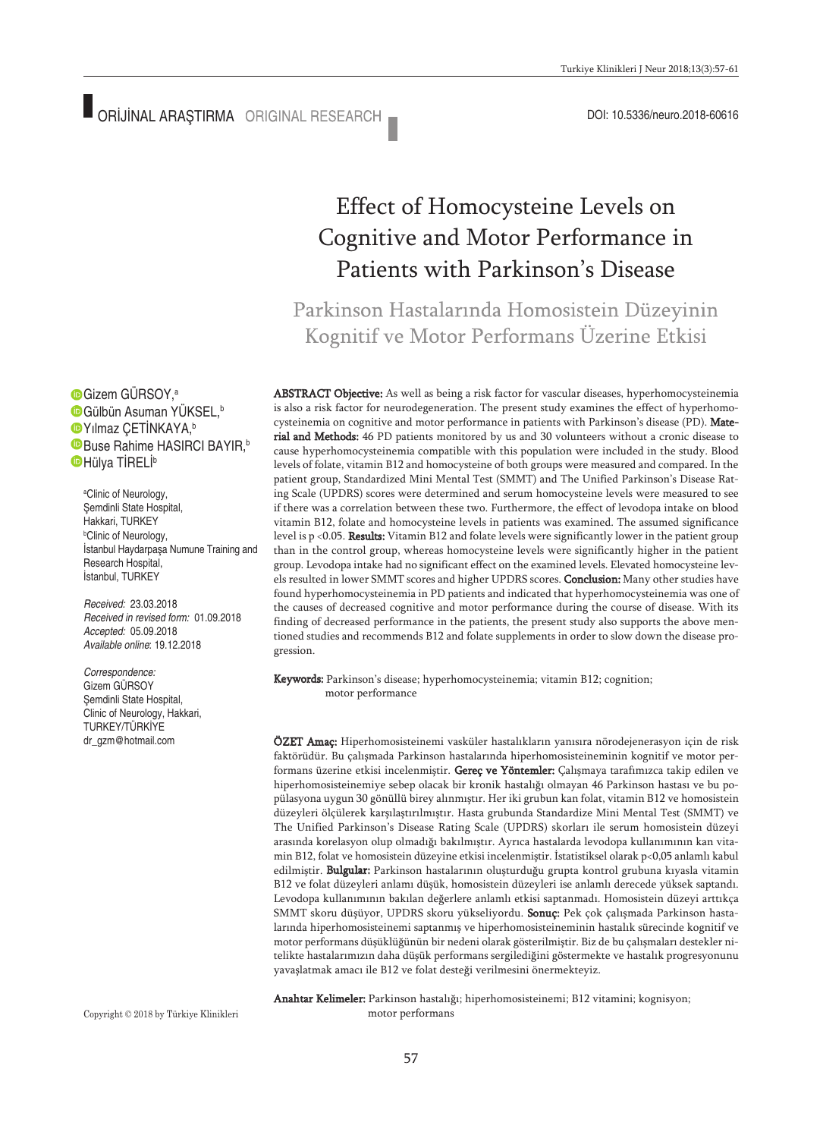# Effect of Homocysteine Levels on Cognitive and Motor Performance in Patients with Parkinson's Disease

Parkinson Hastalarında Homosistein Düzeyinin Kognitif ve Motor Performans Üzerine Etkisi

ABSTRACT Objective: As well as being a risk factor for vascular diseases, hyperhomocysteinemia is also a risk factor for neurodegeneration. The present study examines the effect of hyperhomocysteinemia on cognitive and motor performance in patients with Parkinson's disease (PD). Material and Methods: 46 PD patients monitored by us and 30 volunteers without a cronic disease to cause hyperhomocysteinemia compatible with this population were included in the study. Blood levels of folate, vitamin B12 and homocysteine of both groups were measured and compared. In the patient group, Standardized Mini Mental Test (SMMT) and The Unified Parkinson's Disease Rating Scale (UPDRS) scores were determined and serum homocysteine levels were measured to see if there was a correlation between these two. Furthermore, the effect of levodopa intake on blood vitamin B12, folate and homocysteine levels in patients was examined. The assumed significance level is p <0.05. Results: Vitamin B12 and folate levels were significantly lower in the patient group than in the control group, whereas homocysteine levels were significantly higher in the patient group. Levodopa intake had no significant effect on the examined levels. Elevated homocysteine levels resulted in lower SMMT scores and higher UPDRS scores. Conclusion: Many other studies have found hyperhomocysteinemia in PD patients and indicated that hyperhomocysteinemia was one of the causes of decreased cognitive and motor performance during the course of disease. With its finding of decreased performance in the patients, the present study also supports the above mentioned studies and recommends B12 and folate supplements in order to slow down the disease progression.

Keywords: Parkinson's disease; hyperhomocysteinemia; vitamin B12; cognition; motor performance

ÖZET Amaç: Hiperhomosisteinemi vasküler hastalıkların yanısıra nörodejenerasyon için de risk faktörüdür. Bu çalışmada Parkinson hastalarında hiperhomosisteineminin kognitif ve motor performans üzerine etkisi incelenmiştir. Gereç ve Yöntemler: Çalışmaya tarafımızca takip edilen ve hiperhomosisteinemiye sebep olacak bir kronik hastalığı olmayan 46 Parkinson hastası ve bu popülasyona uygun 30 gönüllü birey alınmıştır. Her iki grubun kan folat, vitamin B12 ve homosistein düzeyleri ölçülerek karşılaştırılmıştır. Hasta grubunda Standardize Mini Mental Test (SMMT) ve The Unified Parkinson's Disease Rating Scale (UPDRS) skorları ile serum homosistein düzeyi arasında korelasyon olup olmadığı bakılmıştır. Ayrıca hastalarda levodopa kullanımının kan vitamin B12, folat ve homosistein düzeyine etkisi incelenmiştir. İstatistiksel olarak p<0,05 anlamlı kabul edilmiştir. Bulgular: Parkinson hastalarının oluşturduğu grupta kontrol grubuna kıyasla vitamin B12 ve folat düzeyleri anlamı düşük, homosistein düzeyleri ise anlamlı derecede yüksek saptandı. Levodopa kullanımının bakılan değerlere anlamlı etkisi saptanmadı. Homosistein düzeyi arttıkça SMMT skoru düşüyor, UPDRS skoru yükseliyordu. Sonuç: Pek çok çalışmada Parkinson hastalarında hiperhomosisteinemi saptanmış ve hiperhomosisteineminin hastalık sürecinde kognitif ve motor performans düşüklüğünün bir nedeni olarak gösterilmiştir. Biz de bu çalışmaları destekler nitelikte hastalarımızın daha düşük performans sergilediğini göstermekte ve hastalık progresyonunu yavaşlatmak amacı ile B12 ve folat desteği verilmesini önermekteyiz.

Anahtar Kelimeler: Parkinson hastalığı; hiperhomosisteinemi; B12 vitamini; kognisyon; motor performans

Gizem GÜRSOY, a Gülbün Asuman YÜKSEL, b Yılmaz ÇETİNKAYA, b Buse Rahime HASIRCI BAYIR,<sup>b</sup> Hülya TİRELİ b

a Clinic of Neurology, Şemdinli State Hospital, Hakkari, TURKEY b Clinic of Neurology, İstanbul Haydarpaşa Numune Training and Research Hospital, İstanbul, TURKEY

*Received:* 23.03.2018 *Received in revised form:* 01.09.2018 *Accepted:* 05.09.2018 *Available online*: 19.12.2018

*Correspondence:* Gizem GÜRSOY Şemdinli State Hospital, Clinic of Neurology, Hakkari, TURKEY/TÜRKİYE dr\_gzm@hotmail.com

Copyright © 2018 by Türkiye Klinikleri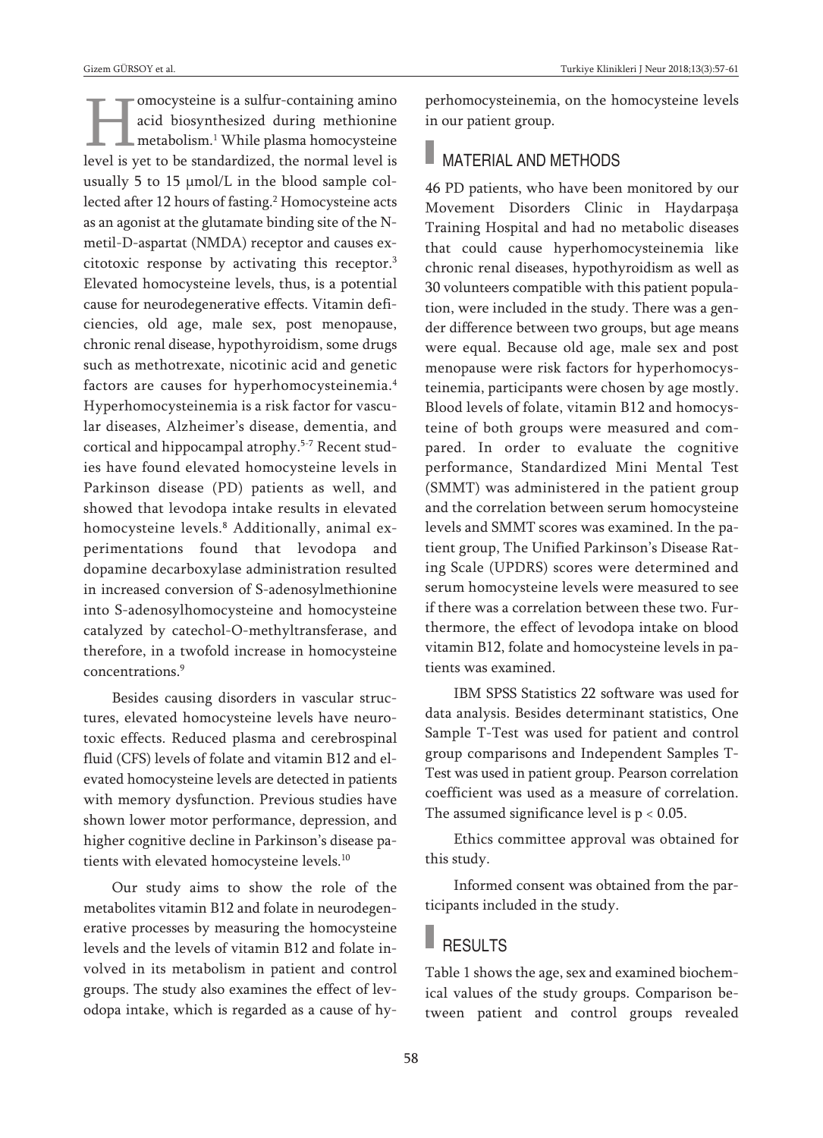Gizem GÜRSOY et al. Turkiye Klinikleri J Neur 2018;13(3):57-61

omocysteine is a sulfur-containing amino acid biosynthesized during methionine metabolism. <sup>1</sup> While plasma homocysteine level is yet to be standardized, the normal level is usually 5 to 15 μmol/L in the blood sample collected after 12 hours of fasting. <sup>2</sup> Homocysteine acts as an agonist at the glutamate binding site of the Nmetil-D-aspartat (NMDA) receptor and causes excitotoxic response by activating this receptor. 3 Elevated homocysteine levels, thus, is a potential cause for neurodegenerative effects. Vitamin deficiencies, old age, male sex, post menopause, chronic renal disease, hypothyroidism, some drugs such as methotrexate, nicotinic acid and genetic factors are causes for hyperhomocysteinemia. 4 Hyperhomocysteinemia is a risk factor for vascular diseases, Alzheimer's disease, dementia, and cortical and hippocampal atrophy. 5-7 Recent studies have found elevated homocysteine levels in Parkinson disease (PD) patients as well, and showed that levodopa intake results in elevated homocysteine levels. <sup>8</sup> Additionally, animal experimentations found that levodopa and dopamine decarboxylase administration resulted in increased conversion of S-adenosylmethionine into S-adenosylhomocysteine and homocysteine catalyzed by catechol-O-methyltransferase, and therefore, in a twofold increase in homocysteine concentrations. 9

Besides causing disorders in vascular structures, elevated homocysteine levels have neurotoxic effects. Reduced plasma and cerebrospinal fluid (CFS) levels of folate and vitamin B12 and elevated homocysteine levels are detected in patients with memory dysfunction. Previous studies have shown lower motor performance, depression, and higher cognitive decline in Parkinson's disease patients with elevated homocysteine levels. 10

Our study aims to show the role of the metabolites vitamin B12 and folate in neurodegenerative processes by measuring the homocysteine levels and the levels of vitamin B12 and folate involved in its metabolism in patient and control groups. The study also examines the effect of levodopa intake, which is regarded as a cause of hyperhomocysteinemia, on the homocysteine levels in our patient group.

### MATERIAL AND METHODS

46 PD patients, who have been monitored by our Movement Disorders Clinic in Haydarpaşa Training Hospital and had no metabolic diseases that could cause hyperhomocysteinemia like chronic renal diseases, hypothyroidism as well as 30 volunteers compatible with this patient population, were included in the study. There was a gender difference between two groups, but age means were equal. Because old age, male sex and post menopause were risk factors for hyperhomocysteinemia, participants were chosen by age mostly. Blood levels of folate, vitamin B12 and homocysteine of both groups were measured and compared. In order to evaluate the cognitive performance, Standardized Mini Mental Test (SMMT) was administered in the patient group and the correlation between serum homocysteine levels and SMMT scores was examined. In the patient group, The Unified Parkinson's Disease Rating Scale (UPDRS) scores were determined and serum homocysteine levels were measured to see if there was a correlation between these two. Furthermore, the effect of levodopa intake on blood vitamin B12, folate and homocysteine levels in patients was examined.

IBM SPSS Statistics 22 software was used for data analysis. Besides determinant statistics, One Sample T-Test was used for patient and control group comparisons and Independent Samples T-Test was used in patient group. Pearson correlation coefficient was used as a measure of correlation. The assumed significance level is  $p < 0.05$ .

Ethics committee approval was obtained for this study.

Informed consent was obtained from the participants included in the study.

# RESULTS

Table 1 shows the age, sex and examined biochemical values of the study groups. Comparison between patient and control groups revealed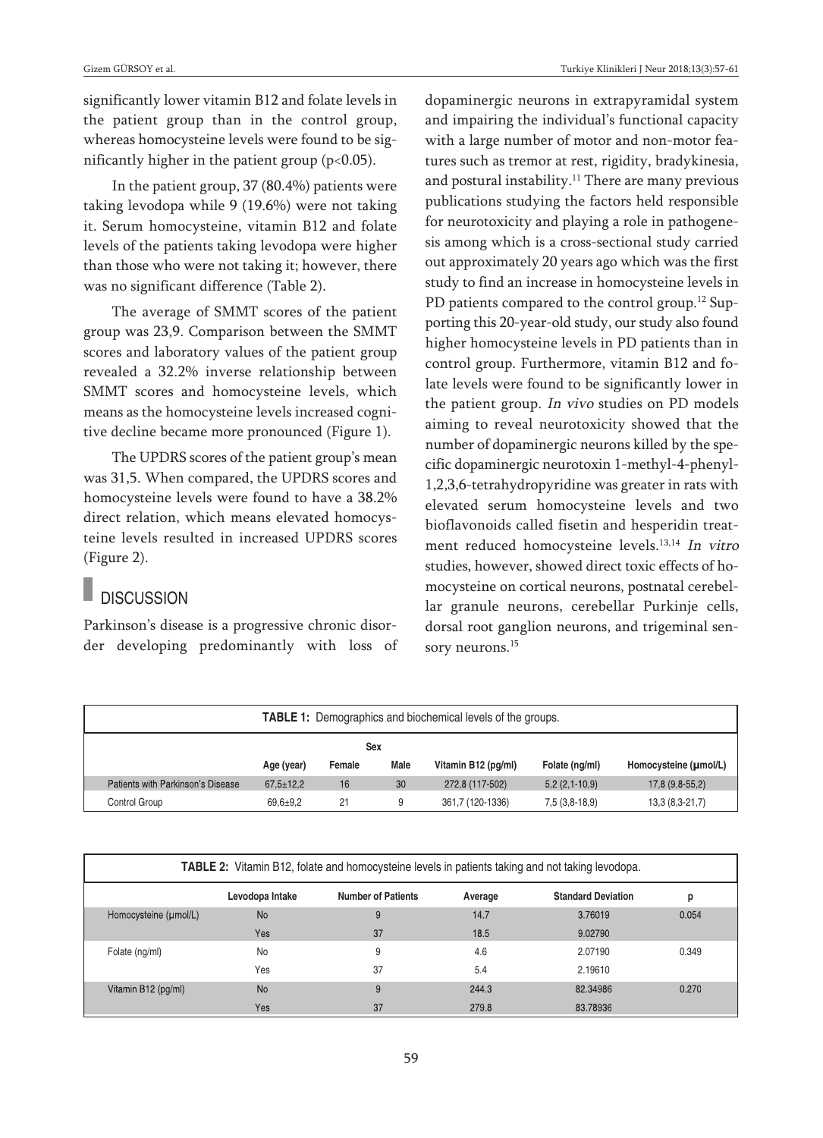significantly lower vitamin B12 and folate levels in the patient group than in the control group, whereas homocysteine levels were found to be significantly higher in the patient group  $(p<0.05)$ .

In the patient group, 37 (80.4%) patients were taking levodopa while 9 (19.6%) were not taking it. Serum homocysteine, vitamin B12 and folate levels of the patients taking levodopa were higher than those who were not taking it; however, there was no significant difference (Table 2).

The average of SMMT scores of the patient group was 23,9. Comparison between the SMMT scores and laboratory values of the patient group revealed a 32.2% inverse relationship between SMMT scores and homocysteine levels, which means as the homocysteine levels increased cognitive decline became more pronounced (Figure 1).

The UPDRS scores of the patient group's mean was 31,5. When compared, the UPDRS scores and homocysteine levels were found to have a 38.2% direct relation, which means elevated homocysteine levels resulted in increased UPDRS scores (Figure 2).

## **DISCUSSION**

Parkinson's disease is a progressive chronic disorder developing predominantly with loss of dopaminergic neurons in extrapyramidal system and impairing the individual's functional capacity with a large number of motor and non-motor features such as tremor at rest, rigidity, bradykinesia, and postural instability. <sup>11</sup> There are many previous publications studying the factors held responsible for neurotoxicity and playing a role in pathogenesis among which is a cross-sectional study carried out approximately 20 years ago which was the first study to find an increase in homocysteine levels in PD patients compared to the control group.<sup>12</sup> Supporting this 20-year-old study, our study also found higher homocysteine levels in PD patients than in control group. Furthermore, vitamin B12 and folate levels were found to be significantly lower in the patient group. In vivo studies on PD models aiming to reveal neurotoxicity showed that the number of dopaminergic neurons killed by the specific dopaminergic neurotoxin 1-methyl-4-phenyl-1,2,3,6-tetrahydropyridine was greater in rats with elevated serum homocysteine levels and two bioflavonoids called fisetin and hesperidin treatment reduced homocysteine levels. 13,14 In vitro studies, however, showed direct toxic effects of homocysteine on cortical neurons, postnatal cerebellar granule neurons, cerebellar Purkinje cells, dorsal root ganglion neurons, and trigeminal sensory neurons. 15

| <b>TABLE 1:</b> Demographics and biochemical levels of the groups. |                 |        |      |                     |                 |                       |  |  |  |
|--------------------------------------------------------------------|-----------------|--------|------|---------------------|-----------------|-----------------------|--|--|--|
| Sex                                                                |                 |        |      |                     |                 |                       |  |  |  |
|                                                                    | Age (year)      | Female | Male | Vitamin B12 (pq/ml) | Folate (ng/ml)  | Homocysteine (umol/L) |  |  |  |
| Patients with Parkinson's Disease                                  | $67.5 \pm 12.2$ | 16     | 30   | 272,8 (117-502)     | $5.2(2.1-10.9)$ | 17,8 (9,8-55,2)       |  |  |  |
| Control Group                                                      | $69.6 + 9.2$    | 21     | 9    | 361,7 (120-1336)    | $7,5(3,8-18,9)$ | 13,3 (8,3-21,7)       |  |  |  |

| <b>TABLE 2:</b> Vitamin B12, folate and homocysteine levels in patients taking and not taking levodopa. |                 |                           |         |                           |       |  |  |  |  |
|---------------------------------------------------------------------------------------------------------|-----------------|---------------------------|---------|---------------------------|-------|--|--|--|--|
|                                                                                                         | Levodopa Intake | <b>Number of Patients</b> | Average | <b>Standard Deviation</b> | р     |  |  |  |  |
| Homocysteine (umol/L)                                                                                   | <b>No</b>       | 9                         | 14.7    | 3.76019                   | 0.054 |  |  |  |  |
|                                                                                                         | Yes             | 37                        | 18.5    | 9.02790                   |       |  |  |  |  |
| Folate (ng/ml)                                                                                          | <b>No</b>       | 9                         | 4.6     | 2.07190                   | 0.349 |  |  |  |  |
|                                                                                                         | Yes             | 37                        | 5.4     | 2.19610                   |       |  |  |  |  |
| Vitamin B12 (pg/ml)                                                                                     | <b>No</b>       | 9                         | 244.3   | 82.34986                  | 0.270 |  |  |  |  |
|                                                                                                         | Yes             | 37                        | 279.8   | 83.78936                  |       |  |  |  |  |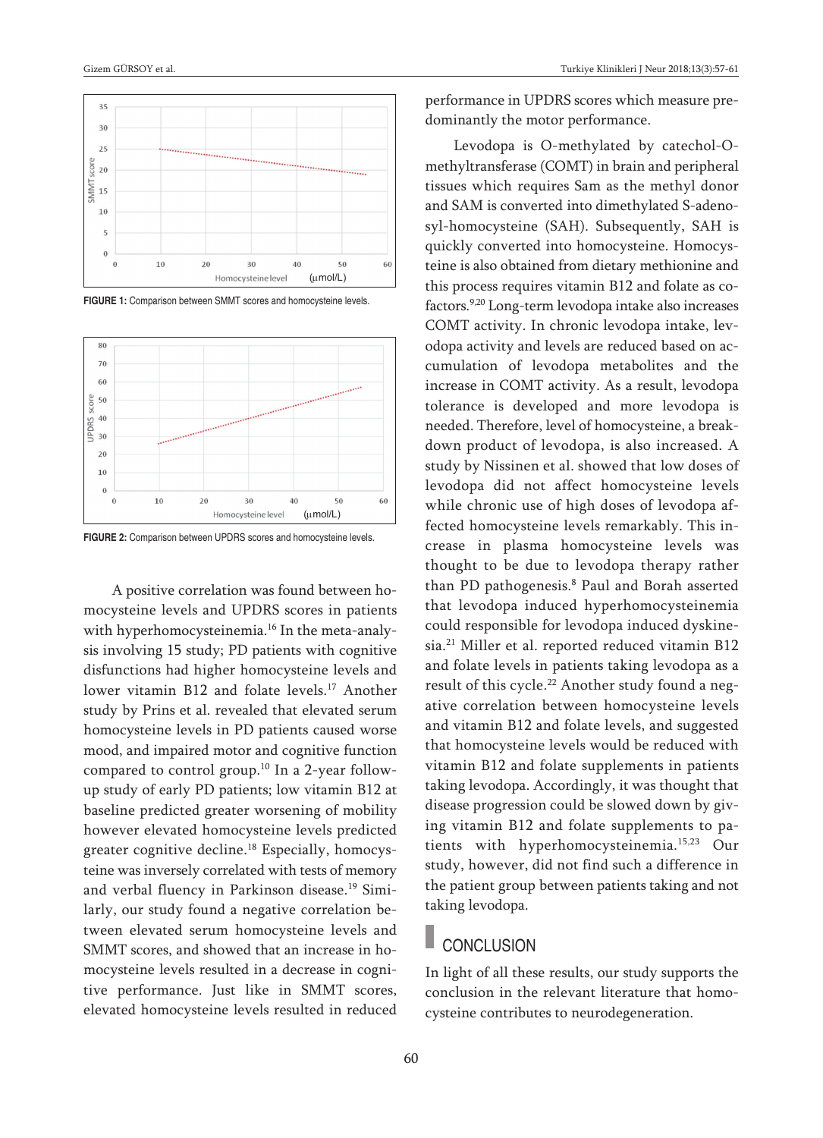

**FIGURE 1:** Comparison between SMMT scores and homocysteine levels.



**FIGURE 2:** Comparison between UPDRS scores and homocysteine levels.

A positive correlation was found between homocysteine levels and UPDRS scores in patients with hyperhomocysteinemia. <sup>16</sup> In the meta-analysis involving 15 study; PD patients with cognitive disfunctions had higher homocysteine levels and lower vitamin B12 and folate levels. <sup>17</sup> Another study by Prins et al. revealed that elevated serum homocysteine levels in PD patients caused worse mood, and impaired motor and cognitive function compared to control group. <sup>10</sup> In a 2-year followup study of early PD patients; low vitamin B12 at baseline predicted greater worsening of mobility however elevated homocysteine levels predicted greater cognitive decline. <sup>18</sup> Especially, homocysteine was inversely correlated with tests of memory and verbal fluency in Parkinson disease. <sup>19</sup> Similarly, our study found a negative correlation between elevated serum homocysteine levels and SMMT scores, and showed that an increase in homocysteine levels resulted in a decrease in cognitive performance. Just like in SMMT scores, elevated homocysteine levels resulted in reduced performance in UPDRS scores which measure predominantly the motor performance.

Levodopa is O-methylated by catechol-Omethyltransferase (COMT) in brain and peripheral tissues which requires Sam as the methyl donor and SAM is converted into dimethylated S-adenosyl-homocysteine (SAH). Subsequently, SAH is quickly converted into homocysteine. Homocysteine is also obtained from dietary methionine and this process requires vitamin B12 and folate as cofactors. 9,20 Long-term levodopa intake also increases COMT activity. In chronic levodopa intake, levodopa activity and levels are reduced based on accumulation of levodopa metabolites and the increase in COMT activity. As a result, levodopa tolerance is developed and more levodopa is needed. Therefore, level of homocysteine, a breakdown product of levodopa, is also increased. A study by Nissinen et al. showed that low doses of levodopa did not affect homocysteine levels while chronic use of high doses of levodopa affected homocysteine levels remarkably. This increase in plasma homocysteine levels was thought to be due to levodopa therapy rather than PD pathogenesis. <sup>8</sup> Paul and Borah asserted that levodopa induced hyperhomocysteinemia could responsible for levodopa induced dyskinesia. <sup>21</sup> Miller et al. reported reduced vitamin B12 and folate levels in patients taking levodopa as a result of this cycle. <sup>22</sup> Another study found a negative correlation between homocysteine levels and vitamin B12 and folate levels, and suggested that homocysteine levels would be reduced with vitamin B12 and folate supplements in patients taking levodopa. Accordingly, it was thought that disease progression could be slowed down by giving vitamin B12 and folate supplements to patients with hyperhomocysteinemia. 15,23 Our study, however, did not find such a difference in the patient group between patients taking and not taking levodopa.

### **CONCLUSION**

In light of all these results, our study supports the conclusion in the relevant literature that homocysteine contributes to neurodegeneration.